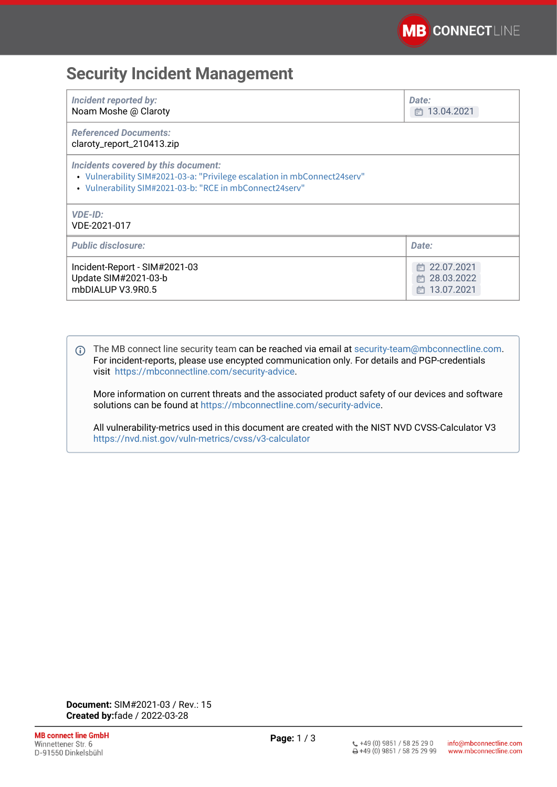## **Security Incident Management**

| <b>Incident reported by:</b><br>Noam Moshe @ Claroty                                                                                                                       | Date:<br>□ 13.04.2021                                  |
|----------------------------------------------------------------------------------------------------------------------------------------------------------------------------|--------------------------------------------------------|
| <b>Referenced Documents:</b><br>claroty_report_210413.zip                                                                                                                  |                                                        |
| Incidents covered by this document:<br>• Vulnerability SIM#2021-03-a: "Privilege escalation in mbConnect24serv"<br>• Vulnerability SIM#2021-03-b: "RCE in mbConnect24serv" |                                                        |
| <b>VDE-ID:</b><br>VDE-2021-017                                                                                                                                             |                                                        |
| <b>Public disclosure:</b>                                                                                                                                                  | Date:                                                  |
| Incident-Report - SIM#2021-03<br>Update SIM#2021-03-b<br>mbDIALUP V3.9R0.5                                                                                                 | 22.07.2021<br>ſт<br>28.03.2022<br>m<br>13.07.2021<br>m |

The MB connect line security team can be reached via email at [security-team@mbconnectline.com](mailto:security-team@mbconnectline.com). For incident-reports, please use encypted communication only. For details and PGP-credentials visit [https://mbconnectline.com/security-advice](https://mbconnectline.com/security-advice/).

More information on current threats and the associated product safety of our devices and software solutions can be found at [https://mbconnectline.com/security-advice.](https://mbconnectline.com/security-advice/)

All vulnerability-metrics used in this document are created with the NIST NVD CVSS-Calculator V3 <https://nvd.nist.gov/vuln-metrics/cvss/v3-calculator>

**Document:** SIM#2021-03 / Rev.: 15 **Created by:**fade / 2022-03-28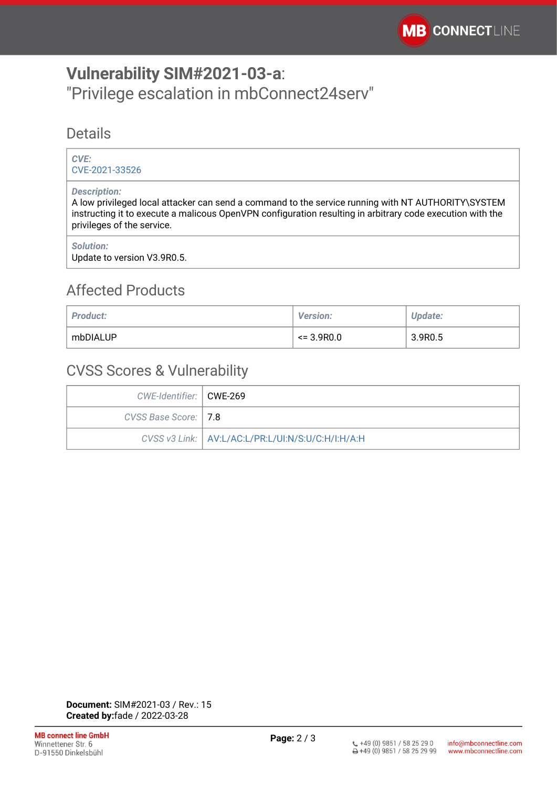# <span id="page-1-0"></span>**Vulnerability SIM#2021-03-a**: "Privilege escalation in mbConnect24serv"

#### **Details**

#### *CVE:* [CVE-2021-33526](https://cve.mitre.org/cgi-bin/cvename.cgi?name=CVE-2021-33526)

#### *Description:*

A low privileged local attacker can send a command to the service running with NT AUTHORITY\SYSTEM instructing it to execute a malicous OpenVPN configuration resulting in arbitrary code execution with the privileges of the service.

#### *Solution:*

Update to version V3.9R0.5.

### Affected Products

| <b>Product:</b> | <b>Version:</b> | <b>Update:</b> |
|-----------------|-----------------|----------------|
| mbDIALUP        | $\leq$ 3.9R0.0  | 3.9R0.5        |

### CVSS Scores & Vulnerability

| CWE-Identifier:   CWE-269 |                                                     |
|---------------------------|-----------------------------------------------------|
| CVSS Base Score:   7.8    |                                                     |
|                           | CVSS v3 Link:   AV:L/AC:L/PR:L/UI:N/S:U/C:H/I:H/A:H |

**Document:** SIM#2021-03 / Rev.: 15 **Created by:**fade / 2022-03-28